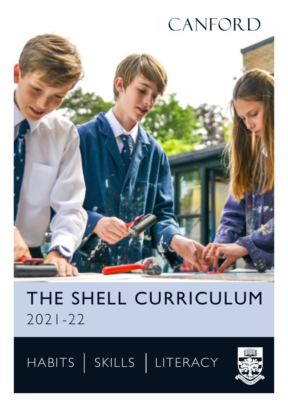# CANFORD



## THE SHELL CURRICULUM 2021-22

HABITS SKILLS LITERACY

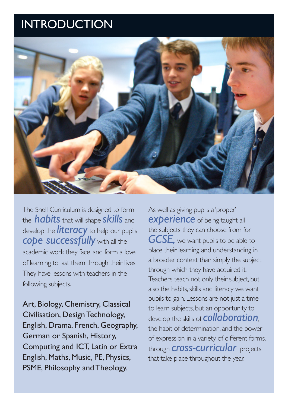### INTRODUCTION



The Shell Curriculum is designed to form the *habits* that will shape *skills* and develop the *literacy* to help our pupils *cope successfully* with all the academic work they face, and form a love of learning to last them through their lives. They have lessons with teachers in the following subjects.

Art, Biology, Chemistry, Classical Civilisation, Design Technology, English, Drama, French, Geography, German or Spanish, History, Computing and ICT, Latin or Extra English, Maths, Music, PE, Physics, PSME, Philosophy and Theology.

As well as giving pupils a 'proper' **experience** of being taught all the subjects they can choose from for *GCSE,* we want pupils to be able to place their learning and understanding in a broader context than simply the subject through which they have acquired it. Teachers teach not only their subject, but also the habits, skills and literacy we want pupils to gain. Lessons are not just a time to learn subjects, but an opportunity to develop the skills of *collaboration*, the habit of determination, and the power of expression in a variety of different forms, through *cross-curricular* projects that take place throughout the year.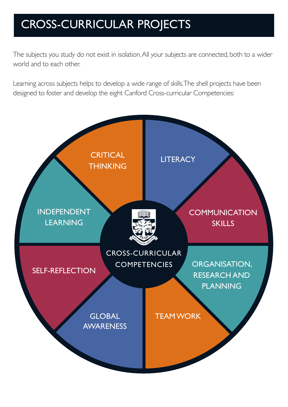### CROSS-CURRICULAR PROJECTS

The subjects you study do not exist in isolation. All your subjects are connected, both to a wider world and to each other.

Learning across subjects helps to develop a wide range of skills. The shell projects have been designed to foster and develop the eight Canford Cross-curricular Competencies:

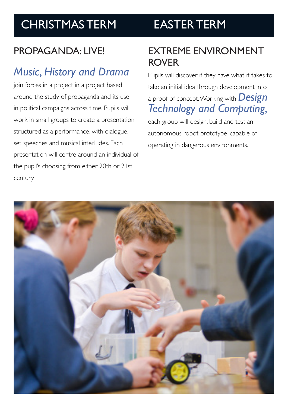### CHRISTMAS TERM

## EASTER TERM

### PROPAGANDA · I IVE!

### *Music, History and Drama*

join forces in a project in a project based around the study of propaganda and its use in political campaigns across time. Pupils will work in small groups to create a presentation structured as a performance, with dialogue, set speeches and musical interludes. Each presentation will centre around an individual of the pupil's choosing from either 20th or 21st century.

### EXTREME ENVIRONMENT ROVER

Pupils will discover if they have what it takes to take an initial idea through development into a proof of concept. Working with *Design Technology and Computing,* 

each group will design, build and test an autonomous robot prototype, capable of operating in dangerous environments.

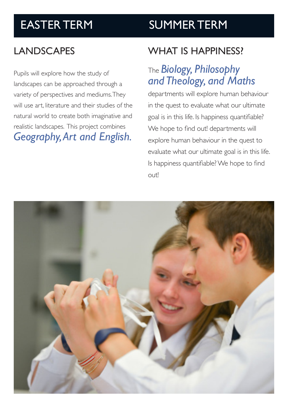### EASTER TERM SUMMER TERM

### LANDSCAPES

Pupils will explore how the study of landscapes can be approached through a variety of perspectives and mediums. They will use art, literature and their studies of the natural world to create both imaginative and realistic landscapes. This project combines *Geography, Art and English.*

### WHAT IS HAPPINESS?

### The *Biology, Philosophy and Theology, and Maths*

departments will explore human behaviour in the quest to evaluate what our ultimate goal is in this life. Is happiness quantifiable? We hope to find out! departments will explore human behaviour in the quest to evaluate what our ultimate goal is in this life. Is happiness quantifiable? We hope to find out!

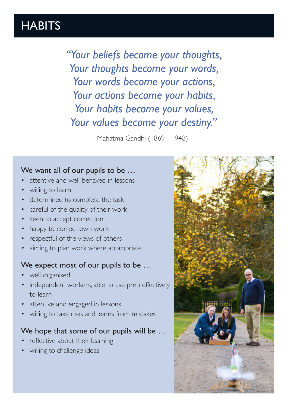### **HABITS**

*"Your beliefs become your thoughts, Your thoughts become your words, Your words become your actions, Your actions become your habits, Your habits become your values, Your values become your destiny."*

Mahatma Gandhi (1869 - 1948)

#### We want all of our pupils to be …

- attentive and well-behaved in lessons
- willing to learn
- determined to complete the task
- careful of the quality of their work
- keen to accept correction
- happy to correct own work
- respectful of the views of others
- aiming to plan work where appropriate

#### We expect most of our pupils to be …

- well organised
- independent workers, able to use prep effectively to learn
- attentive and engaged in lessons
- willing to take risks and learns from mistakes

### We hope that some of our pupils will be ...

- reflective about their learning
- willing to challenge ideas

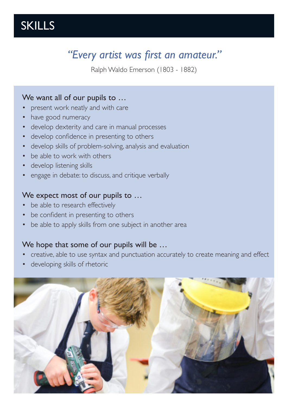### SKILLS

### *"Every artist was first an amateur."*

Ralph Waldo Emerson (1803 - 1882)

#### We want all of our pupils to ...

- present work neatly and with care
- have good numeracy
- develop dexterity and care in manual processes
- develop confidence in presenting to others
- develop skills of problem-solving, analysis and evaluation
- be able to work with others
- develop listening skills
- engage in debate: to discuss, and critique verbally

#### We expect most of our pupils to ...

- be able to research effectively
- be confident in presenting to others
- be able to apply skills from one subject in another area

### We hope that some of our pupils will be ...

- creative, able to use syntax and punctuation accurately to create meaning and effect
- developing skills of rhetoric